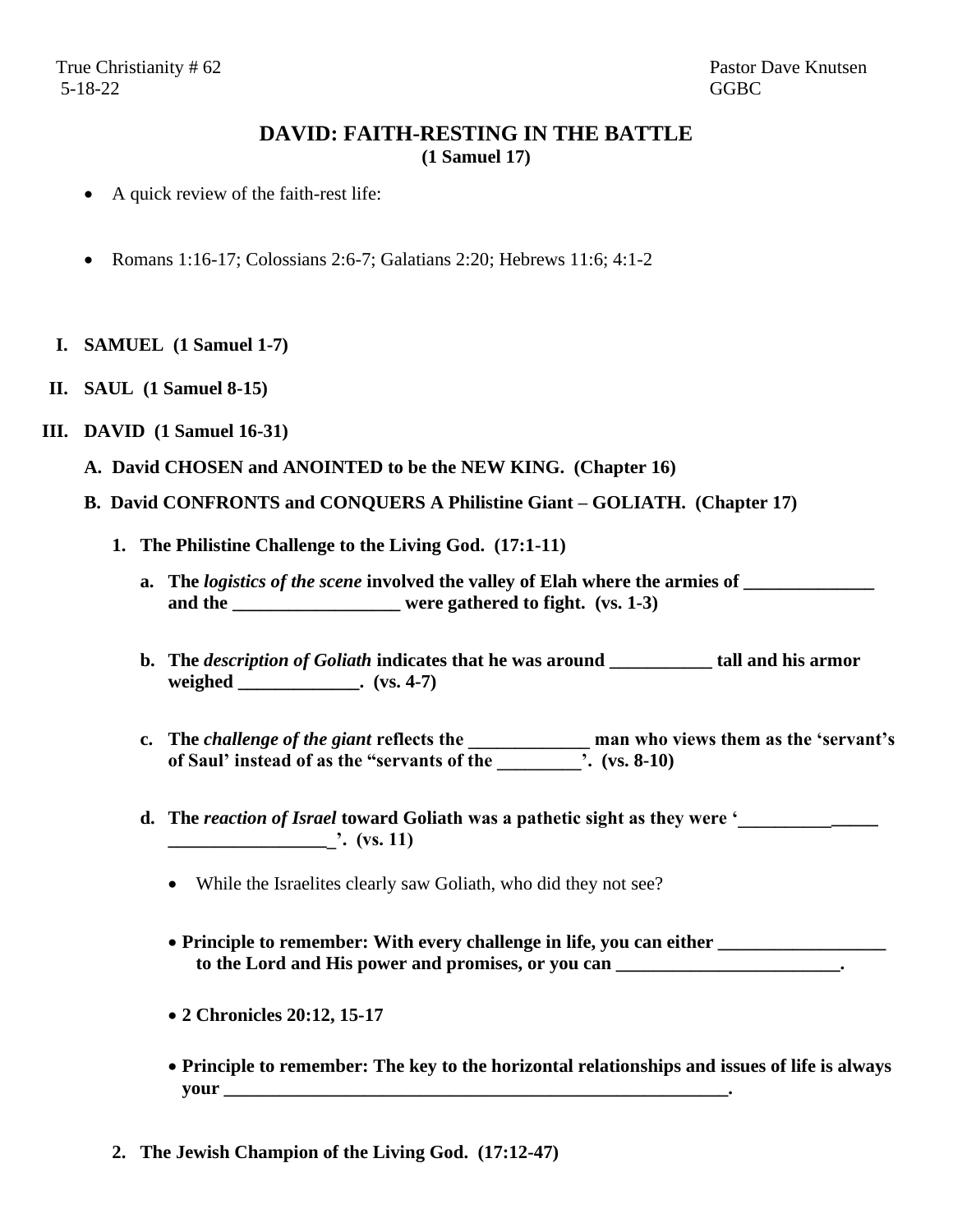## **DAVID: FAITH-RESTING IN THE BATTLE (1 Samuel 17)**

- A quick review of the faith-rest life:
- Romans 1:16-17; Colossians 2:6-7; Galatians 2:20; Hebrews 11:6; 4:1-2
- **I. SAMUEL (1 Samuel 1-7)**
- **II. SAUL (1 Samuel 8-15)**

## **III. DAVID (1 Samuel 16-31)**

- **A. David CHOSEN and ANOINTED to be the NEW KING. (Chapter 16)**
- **B. David CONFRONTS and CONQUERS A Philistine Giant – GOLIATH. (Chapter 17)**
	- **1. The Philistine Challenge to the Living God. (17:1-11)**
		- **a. The** *logistics of the scene* **involved the valley of Elah where the armies of \_\_\_\_\_\_\_\_\_\_\_\_\_\_**  and the \_\_\_\_\_\_\_\_\_\_\_\_\_\_\_\_\_\_\_ were gathered to fight. (vs. 1-3)
		- **b. The** *description of Goliath* **indicates that he was around \_\_\_\_\_\_\_\_\_\_\_ tall and his armor weighed \_\_\_\_\_\_\_\_\_\_\_\_\_. (vs. 4-7)**
		- **c. The** *challenge of the giant* **reflects the \_\_\_\_\_\_\_\_\_\_\_\_\_ man who views them as the 'servant's of Saul' instead of as the "servants of the \_\_\_\_\_\_\_\_\_'. (vs. 8-10)**
		- d. The *reaction of Israel* **toward Goliath was a pathetic sight as they were '\_\_\_\_\_\_ \_\_\_\_\_\_\_\_\_\_\_\_\_\_\_\_\_\_'. (vs. 11)**
			- While the Israelites clearly saw Goliath, who did they not see?
			- **Principle to remember: With every challenge in life, you can either \_\_\_\_\_\_\_\_\_\_\_\_\_\_\_\_\_\_ to the Lord and His power and promises, or you can \_\_\_\_\_\_\_\_\_\_\_\_\_\_\_\_\_\_\_\_\_\_\_\_.**
			- **2 Chronicles 20:12, 15-17**
			- **Principle to remember: The key to the horizontal relationships and issues of life is always your \_\_\_\_\_\_\_\_\_\_\_\_\_\_\_\_\_\_\_\_\_\_\_\_\_\_\_\_\_\_\_\_\_\_\_\_\_\_\_\_\_\_\_\_\_\_\_\_\_\_\_\_\_\_.**
	- **2. The Jewish Champion of the Living God. (17:12-47)**